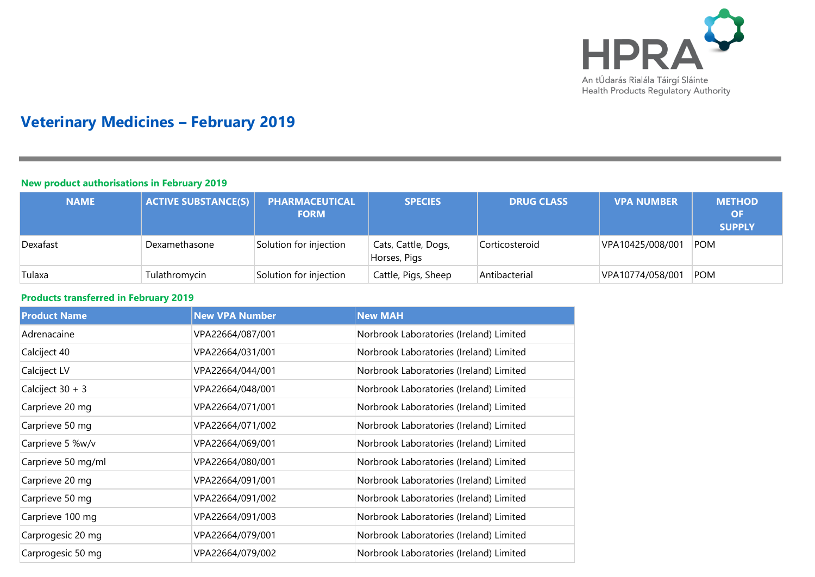

# **Veterinary Medicines – February 2019**

#### **New product authorisations in February 2019**

| <b>NAME</b> | <b>ACTIVE SUBSTANCE(S)</b> | PHARMACEUTICAL<br><b>FORM</b> | <b>SPECIES</b>                      | <b>DRUG CLASS</b> | <b>VPA NUMBER</b> | <b>METHOD</b><br><b>OF</b><br><b>SUPPLY</b> |
|-------------|----------------------------|-------------------------------|-------------------------------------|-------------------|-------------------|---------------------------------------------|
| Dexafast    | Dexamethasone              | Solution for injection        | Cats, Cattle, Dogs,<br>Horses, Pigs | Corticosteroid    | VPA10425/008/001  | <b>POM</b>                                  |
| Tulaxa      | Tulathromycin              | Solution for injection        | Cattle, Pigs, Sheep                 | Antibacterial     | VPA10774/058/001  | <b>POM</b>                                  |

### **Products transferred in February 2019**

| <b>Product Name</b> | <b>New VPA Number</b> | <b>New MAH</b>                          |
|---------------------|-----------------------|-----------------------------------------|
| Adrenacaine         | VPA22664/087/001      | Norbrook Laboratories (Ireland) Limited |
| Calciject 40        | VPA22664/031/001      | Norbrook Laboratories (Ireland) Limited |
| Calciject LV        | VPA22664/044/001      | Norbrook Laboratories (Ireland) Limited |
| Calciject 30 + 3    | VPA22664/048/001      | Norbrook Laboratories (Ireland) Limited |
| Carprieve 20 mg     | VPA22664/071/001      | Norbrook Laboratories (Ireland) Limited |
| Carprieve 50 mg     | VPA22664/071/002      | Norbrook Laboratories (Ireland) Limited |
| Carprieve 5 %w/v    | VPA22664/069/001      | Norbrook Laboratories (Ireland) Limited |
| Carprieve 50 mg/ml  | VPA22664/080/001      | Norbrook Laboratories (Ireland) Limited |
| Carprieve 20 mg     | VPA22664/091/001      | Norbrook Laboratories (Ireland) Limited |
| Carprieve 50 mg     | VPA22664/091/002      | Norbrook Laboratories (Ireland) Limited |
| Carprieve 100 mg    | VPA22664/091/003      | Norbrook Laboratories (Ireland) Limited |
| Carprogesic 20 mg   | VPA22664/079/001      | Norbrook Laboratories (Ireland) Limited |
| Carprogesic 50 mg   | VPA22664/079/002      | Norbrook Laboratories (Ireland) Limited |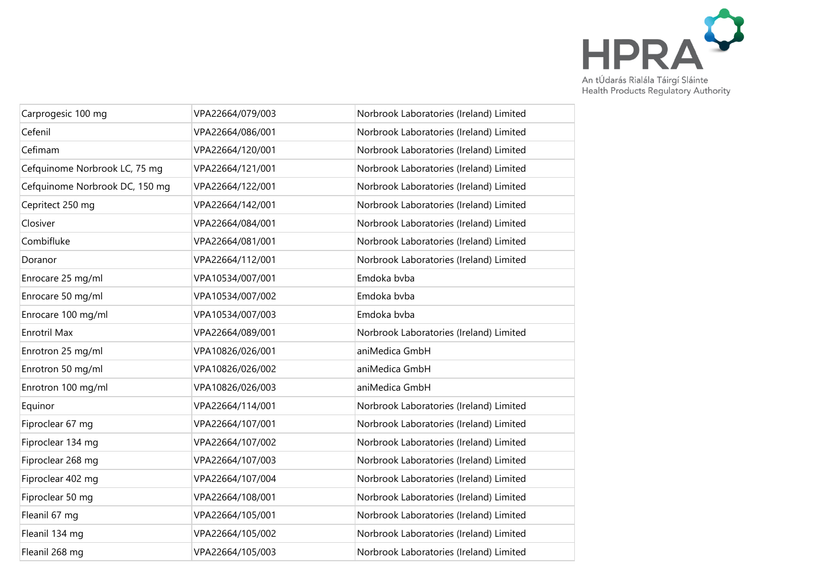

| Carprogesic 100 mg             | VPA22664/079/003 | Norbrook Laboratories (Ireland) Limited |
|--------------------------------|------------------|-----------------------------------------|
| Cefenil                        | VPA22664/086/001 | Norbrook Laboratories (Ireland) Limited |
| Cefimam                        | VPA22664/120/001 | Norbrook Laboratories (Ireland) Limited |
| Cefquinome Norbrook LC, 75 mg  | VPA22664/121/001 | Norbrook Laboratories (Ireland) Limited |
| Cefquinome Norbrook DC, 150 mg | VPA22664/122/001 | Norbrook Laboratories (Ireland) Limited |
| Cepritect 250 mg               | VPA22664/142/001 | Norbrook Laboratories (Ireland) Limited |
| Closiver                       | VPA22664/084/001 | Norbrook Laboratories (Ireland) Limited |
| Combifluke                     | VPA22664/081/001 | Norbrook Laboratories (Ireland) Limited |
| Doranor                        | VPA22664/112/001 | Norbrook Laboratories (Ireland) Limited |
| Enrocare 25 mg/ml              | VPA10534/007/001 | Emdoka bvba                             |
| Enrocare 50 mg/ml              | VPA10534/007/002 | Emdoka bvba                             |
| Enrocare 100 mg/ml             | VPA10534/007/003 | Emdoka bvba                             |
| Enrotril Max                   | VPA22664/089/001 | Norbrook Laboratories (Ireland) Limited |
| Enrotron 25 mg/ml              | VPA10826/026/001 | aniMedica GmbH                          |
| Enrotron 50 mg/ml              | VPA10826/026/002 | aniMedica GmbH                          |
| Enrotron 100 mg/ml             | VPA10826/026/003 | aniMedica GmbH                          |
| Equinor                        | VPA22664/114/001 | Norbrook Laboratories (Ireland) Limited |
| Fiproclear 67 mg               | VPA22664/107/001 | Norbrook Laboratories (Ireland) Limited |
| Fiproclear 134 mg              | VPA22664/107/002 | Norbrook Laboratories (Ireland) Limited |
| Fiproclear 268 mg              | VPA22664/107/003 | Norbrook Laboratories (Ireland) Limited |
| Fiproclear 402 mg              | VPA22664/107/004 | Norbrook Laboratories (Ireland) Limited |
| Fiproclear 50 mg               | VPA22664/108/001 | Norbrook Laboratories (Ireland) Limited |
| Fleanil 67 mg                  | VPA22664/105/001 | Norbrook Laboratories (Ireland) Limited |
| Fleanil 134 mg                 | VPA22664/105/002 | Norbrook Laboratories (Ireland) Limited |
| Fleanil 268 mg                 | VPA22664/105/003 | Norbrook Laboratories (Ireland) Limited |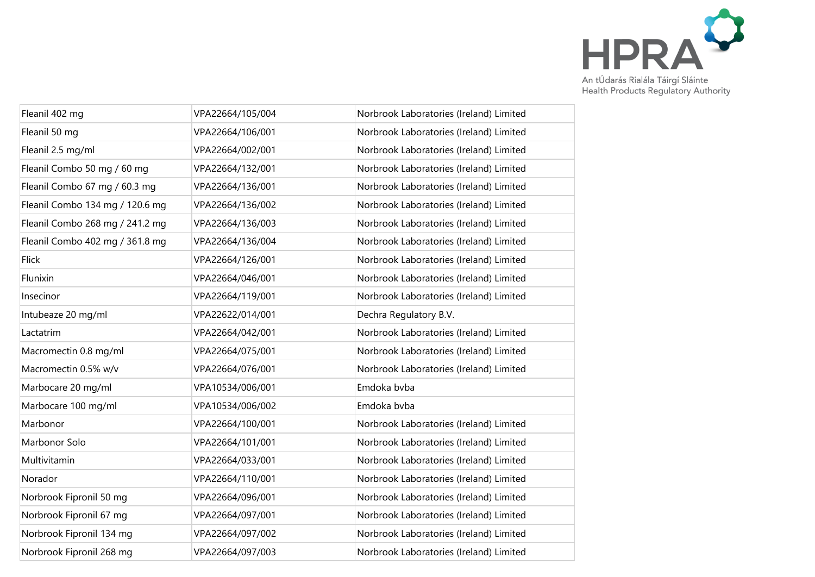

| Fleanil 402 mg                  | VPA22664/105/004 | Norbrook Laboratories (Ireland) Limited |
|---------------------------------|------------------|-----------------------------------------|
| Fleanil 50 mg                   | VPA22664/106/001 | Norbrook Laboratories (Ireland) Limited |
| Fleanil 2.5 mg/ml               | VPA22664/002/001 | Norbrook Laboratories (Ireland) Limited |
| Fleanil Combo 50 mg / 60 mg     | VPA22664/132/001 | Norbrook Laboratories (Ireland) Limited |
| Fleanil Combo 67 mg / 60.3 mg   | VPA22664/136/001 | Norbrook Laboratories (Ireland) Limited |
| Fleanil Combo 134 mg / 120.6 mg | VPA22664/136/002 | Norbrook Laboratories (Ireland) Limited |
| Fleanil Combo 268 mg / 241.2 mg | VPA22664/136/003 | Norbrook Laboratories (Ireland) Limited |
| Fleanil Combo 402 mg / 361.8 mg | VPA22664/136/004 | Norbrook Laboratories (Ireland) Limited |
| <b>Flick</b>                    | VPA22664/126/001 | Norbrook Laboratories (Ireland) Limited |
| Flunixin                        | VPA22664/046/001 | Norbrook Laboratories (Ireland) Limited |
| Insecinor                       | VPA22664/119/001 | Norbrook Laboratories (Ireland) Limited |
| Intubeaze 20 mg/ml              | VPA22622/014/001 | Dechra Regulatory B.V.                  |
| Lactatrim                       | VPA22664/042/001 | Norbrook Laboratories (Ireland) Limited |
| Macromectin 0.8 mg/ml           | VPA22664/075/001 | Norbrook Laboratories (Ireland) Limited |
| Macromectin 0.5% w/v            | VPA22664/076/001 | Norbrook Laboratories (Ireland) Limited |
| Marbocare 20 mg/ml              | VPA10534/006/001 | Emdoka bvba                             |
| Marbocare 100 mg/ml             | VPA10534/006/002 | Emdoka bvba                             |
| Marbonor                        | VPA22664/100/001 | Norbrook Laboratories (Ireland) Limited |
| Marbonor Solo                   | VPA22664/101/001 | Norbrook Laboratories (Ireland) Limited |
| Multivitamin                    | VPA22664/033/001 | Norbrook Laboratories (Ireland) Limited |
| Norador                         | VPA22664/110/001 | Norbrook Laboratories (Ireland) Limited |
| Norbrook Fipronil 50 mg         | VPA22664/096/001 | Norbrook Laboratories (Ireland) Limited |
| Norbrook Fipronil 67 mg         | VPA22664/097/001 | Norbrook Laboratories (Ireland) Limited |
| Norbrook Fipronil 134 mg        | VPA22664/097/002 | Norbrook Laboratories (Ireland) Limited |
| Norbrook Fipronil 268 mg        | VPA22664/097/003 | Norbrook Laboratories (Ireland) Limited |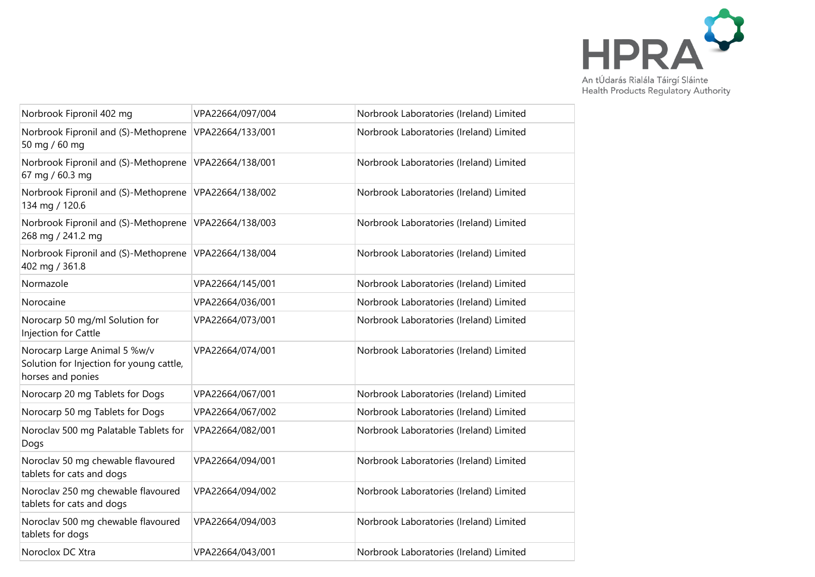

| Norbrook Fipronil 402 mg                                                                      | VPA22664/097/004 | Norbrook Laboratories (Ireland) Limited |
|-----------------------------------------------------------------------------------------------|------------------|-----------------------------------------|
| Norbrook Fipronil and (S)-Methoprene<br>50 mg / 60 mg                                         | VPA22664/133/001 | Norbrook Laboratories (Ireland) Limited |
| Norbrook Fipronil and (S)-Methoprene<br>67 mg / 60.3 mg                                       | VPA22664/138/001 | Norbrook Laboratories (Ireland) Limited |
| Norbrook Fipronil and (S)-Methoprene<br>134 mg / 120.6                                        | VPA22664/138/002 | Norbrook Laboratories (Ireland) Limited |
| Norbrook Fipronil and (S)-Methoprene<br>268 mg / 241.2 mg                                     | VPA22664/138/003 | Norbrook Laboratories (Ireland) Limited |
| Norbrook Fipronil and (S)-Methoprene<br>402 mg / 361.8                                        | VPA22664/138/004 | Norbrook Laboratories (Ireland) Limited |
| Normazole                                                                                     | VPA22664/145/001 | Norbrook Laboratories (Ireland) Limited |
| Norocaine                                                                                     | VPA22664/036/001 | Norbrook Laboratories (Ireland) Limited |
| Norocarp 50 mg/ml Solution for<br>Injection for Cattle                                        | VPA22664/073/001 | Norbrook Laboratories (Ireland) Limited |
| Norocarp Large Animal 5 %w/v<br>Solution for Injection for young cattle,<br>horses and ponies | VPA22664/074/001 | Norbrook Laboratories (Ireland) Limited |
| Norocarp 20 mg Tablets for Dogs                                                               | VPA22664/067/001 | Norbrook Laboratories (Ireland) Limited |
| Norocarp 50 mg Tablets for Dogs                                                               | VPA22664/067/002 | Norbrook Laboratories (Ireland) Limited |
| Noroclav 500 mg Palatable Tablets for<br>Dogs                                                 | VPA22664/082/001 | Norbrook Laboratories (Ireland) Limited |
| Noroclav 50 mg chewable flavoured<br>tablets for cats and dogs                                | VPA22664/094/001 | Norbrook Laboratories (Ireland) Limited |
| Noroclav 250 mg chewable flavoured<br>tablets for cats and dogs                               | VPA22664/094/002 | Norbrook Laboratories (Ireland) Limited |
| Noroclav 500 mg chewable flavoured<br>tablets for dogs                                        | VPA22664/094/003 | Norbrook Laboratories (Ireland) Limited |
| Noroclox DC Xtra                                                                              | VPA22664/043/001 | Norbrook Laboratories (Ireland) Limited |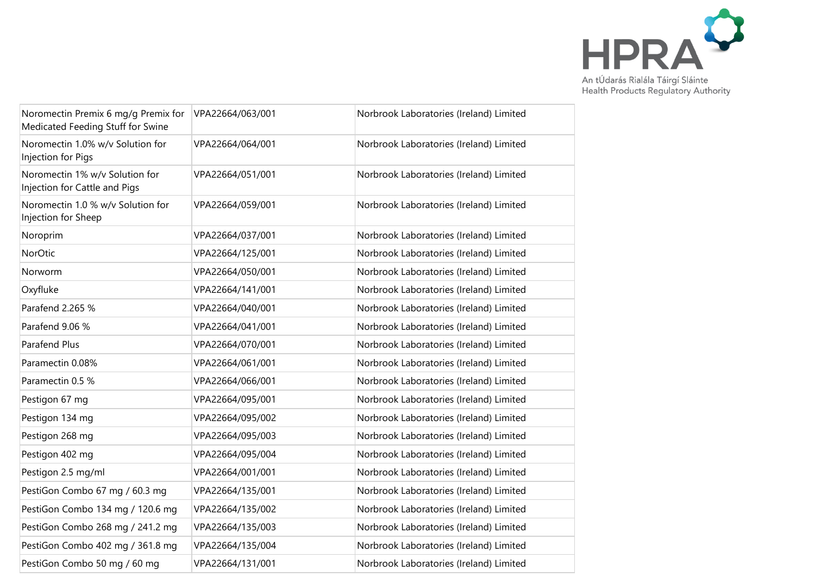

| Noromectin Premix 6 mg/g Premix for<br>Medicated Feeding Stuff for Swine | VPA22664/063/001 | Norbrook Laboratories (Ireland) Limited |
|--------------------------------------------------------------------------|------------------|-----------------------------------------|
| Noromectin 1.0% w/v Solution for<br>Injection for Pigs                   | VPA22664/064/001 | Norbrook Laboratories (Ireland) Limited |
| Noromectin 1% w/v Solution for<br>Injection for Cattle and Pigs          | VPA22664/051/001 | Norbrook Laboratories (Ireland) Limited |
| Noromectin 1.0 % w/v Solution for<br>Injection for Sheep                 | VPA22664/059/001 | Norbrook Laboratories (Ireland) Limited |
| Noroprim                                                                 | VPA22664/037/001 | Norbrook Laboratories (Ireland) Limited |
| NorOtic                                                                  | VPA22664/125/001 | Norbrook Laboratories (Ireland) Limited |
| Norworm                                                                  | VPA22664/050/001 | Norbrook Laboratories (Ireland) Limited |
| Oxyfluke                                                                 | VPA22664/141/001 | Norbrook Laboratories (Ireland) Limited |
| Parafend 2.265 %                                                         | VPA22664/040/001 | Norbrook Laboratories (Ireland) Limited |
| Parafend 9.06 %                                                          | VPA22664/041/001 | Norbrook Laboratories (Ireland) Limited |
| Parafend Plus                                                            | VPA22664/070/001 | Norbrook Laboratories (Ireland) Limited |
| Paramectin 0.08%                                                         | VPA22664/061/001 | Norbrook Laboratories (Ireland) Limited |
| Paramectin 0.5 %                                                         | VPA22664/066/001 | Norbrook Laboratories (Ireland) Limited |
| Pestigon 67 mg                                                           | VPA22664/095/001 | Norbrook Laboratories (Ireland) Limited |
| Pestigon 134 mg                                                          | VPA22664/095/002 | Norbrook Laboratories (Ireland) Limited |
| Pestigon 268 mg                                                          | VPA22664/095/003 | Norbrook Laboratories (Ireland) Limited |
| Pestigon 402 mg                                                          | VPA22664/095/004 | Norbrook Laboratories (Ireland) Limited |
| Pestigon 2.5 mg/ml                                                       | VPA22664/001/001 | Norbrook Laboratories (Ireland) Limited |
| PestiGon Combo 67 mg / 60.3 mg                                           | VPA22664/135/001 | Norbrook Laboratories (Ireland) Limited |
| PestiGon Combo 134 mg / 120.6 mg                                         | VPA22664/135/002 | Norbrook Laboratories (Ireland) Limited |
| PestiGon Combo 268 mg / 241.2 mg                                         | VPA22664/135/003 | Norbrook Laboratories (Ireland) Limited |
| PestiGon Combo 402 mg / 361.8 mg                                         | VPA22664/135/004 | Norbrook Laboratories (Ireland) Limited |
| PestiGon Combo 50 mg / 60 mg                                             | VPA22664/131/001 | Norbrook Laboratories (Ireland) Limited |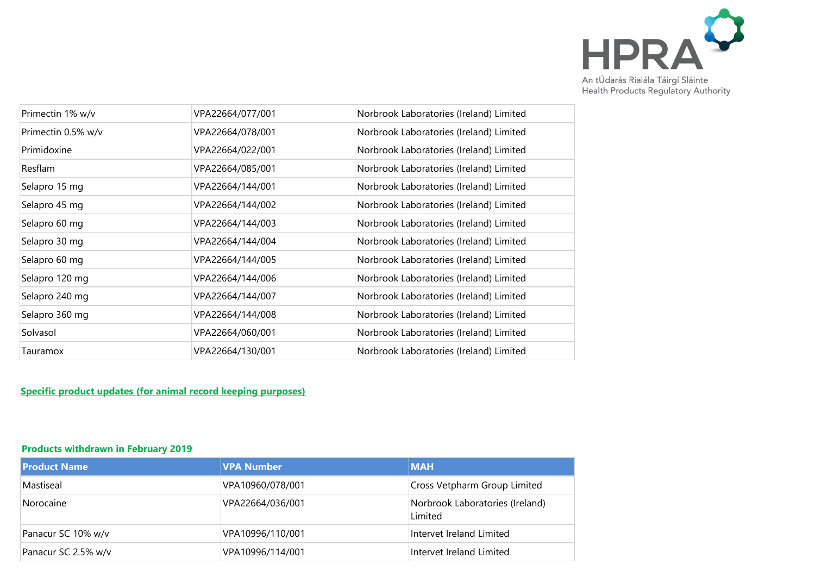

| Primectin 1% w/v   | VPA22664/077/001 | Norbrook Laboratories (Ireland) Limited |
|--------------------|------------------|-----------------------------------------|
| Primectin 0.5% w/v | VPA22664/078/001 | Norbrook Laboratories (Ireland) Limited |
| Primidoxine        | VPA22664/022/001 | Norbrook Laboratories (Ireland) Limited |
| <b>Resflam</b>     | VPA22664/085/001 | Norbrook Laboratories (Ireland) Limited |
| Selapro 15 mg      | VPA22664/144/001 | Norbrook Laboratories (Ireland) Limited |
| Selapro 45 mg      | VPA22664/144/002 | Norbrook Laboratories (Ireland) Limited |
| Selapro 60 mg      | VPA22664/144/003 | Norbrook Laboratories (Ireland) Limited |
| Selapro 30 mg      | VPA22664/144/004 | Norbrook Laboratories (Ireland) Limited |
| Selapro 60 mg      | VPA22664/144/005 | Norbrook Laboratories (Ireland) Limited |
| Selapro 120 mg     | VPA22664/144/006 | Norbrook Laboratories (Ireland) Limited |
| Selapro 240 mg     | VPA22664/144/007 | Norbrook Laboratories (Ireland) Limited |
| Selapro 360 mg     | VPA22664/144/008 | Norbrook Laboratories (Ireland) Limited |
| Solvasol           | VPA22664/060/001 | Norbrook Laboratories (Ireland) Limited |
| Tauramox           | VPA22664/130/001 | Norbrook Laboratories (Ireland) Limited |
|                    |                  |                                         |

## **Specific product updates (for animal record keeping purposes)**

#### **Products withdrawn in February 2019**

| <b>Product Name</b> | <b>VPA Number</b> | <b>MAH</b>                                 |
|---------------------|-------------------|--------------------------------------------|
| Mastiseal           | VPA10960/078/001  | Cross Vetpharm Group Limited               |
| Norocaine           | VPA22664/036/001  | Norbrook Laboratories (Ireland)<br>Limited |
| Panacur SC 10% w/v  | VPA10996/110/001  | Intervet Ireland Limited                   |
| Panacur SC 2.5% w/v | VPA10996/114/001  | Intervet Ireland Limited                   |